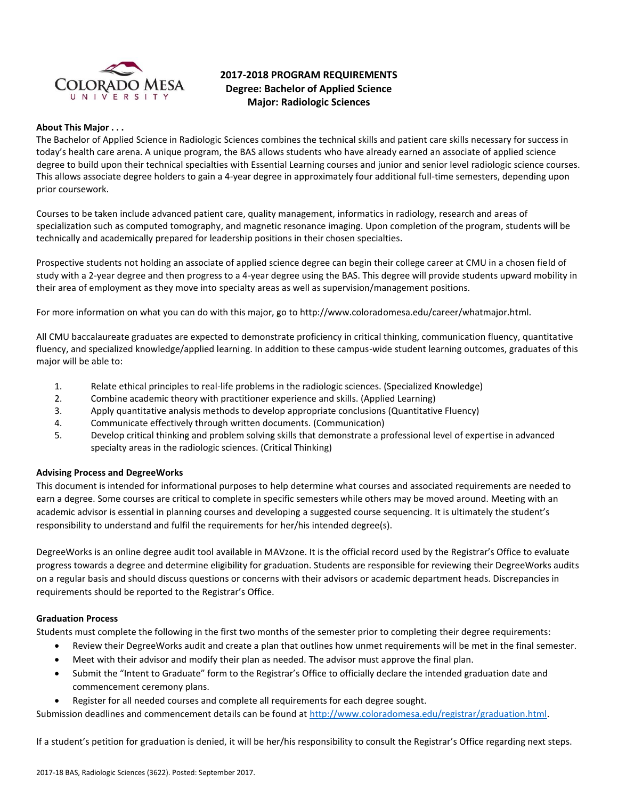

# **2017-2018 PROGRAM REQUIREMENTS Degree: Bachelor of Applied Science Major: Radiologic Sciences**

## **About This Major . . .**

The Bachelor of Applied Science in Radiologic Sciences combines the technical skills and patient care skills necessary for success in today's health care arena. A unique program, the BAS allows students who have already earned an associate of applied science degree to build upon their technical specialties with Essential Learning courses and junior and senior level radiologic science courses. This allows associate degree holders to gain a 4-year degree in approximately four additional full-time semesters, depending upon prior coursework.

Courses to be taken include advanced patient care, quality management, informatics in radiology, research and areas of specialization such as computed tomography, and magnetic resonance imaging. Upon completion of the program, students will be technically and academically prepared for leadership positions in their chosen specialties.

Prospective students not holding an associate of applied science degree can begin their college career at CMU in a chosen field of study with a 2-year degree and then progress to a 4-year degree using the BAS. This degree will provide students upward mobility in their area of employment as they move into specialty areas as well as supervision/management positions.

For more information on what you can do with this major, go to http://www.coloradomesa.edu/career/whatmajor.html.

All CMU baccalaureate graduates are expected to demonstrate proficiency in critical thinking, communication fluency, quantitative fluency, and specialized knowledge/applied learning. In addition to these campus-wide student learning outcomes, graduates of this major will be able to:

- 1. Relate ethical principles to real-life problems in the radiologic sciences. (Specialized Knowledge)
- 2. Combine academic theory with practitioner experience and skills. (Applied Learning)
- 3. Apply quantitative analysis methods to develop appropriate conclusions (Quantitative Fluency)
- 4. Communicate effectively through written documents. (Communication)
- 5. Develop critical thinking and problem solving skills that demonstrate a professional level of expertise in advanced specialty areas in the radiologic sciences. (Critical Thinking)

#### **Advising Process and DegreeWorks**

This document is intended for informational purposes to help determine what courses and associated requirements are needed to earn a degree. Some courses are critical to complete in specific semesters while others may be moved around. Meeting with an academic advisor is essential in planning courses and developing a suggested course sequencing. It is ultimately the student's responsibility to understand and fulfil the requirements for her/his intended degree(s).

DegreeWorks is an online degree audit tool available in MAVzone. It is the official record used by the Registrar's Office to evaluate progress towards a degree and determine eligibility for graduation. Students are responsible for reviewing their DegreeWorks audits on a regular basis and should discuss questions or concerns with their advisors or academic department heads. Discrepancies in requirements should be reported to the Registrar's Office.

#### **Graduation Process**

Students must complete the following in the first two months of the semester prior to completing their degree requirements:

- Review their DegreeWorks audit and create a plan that outlines how unmet requirements will be met in the final semester.
- Meet with their advisor and modify their plan as needed. The advisor must approve the final plan.
- Submit the "Intent to Graduate" form to the Registrar's Office to officially declare the intended graduation date and commencement ceremony plans.
- Register for all needed courses and complete all requirements for each degree sought.

Submission deadlines and commencement details can be found at [http://www.coloradomesa.edu/registrar/graduation.html.](http://www.coloradomesa.edu/registrar/graduation.html)

If a student's petition for graduation is denied, it will be her/his responsibility to consult the Registrar's Office regarding next steps.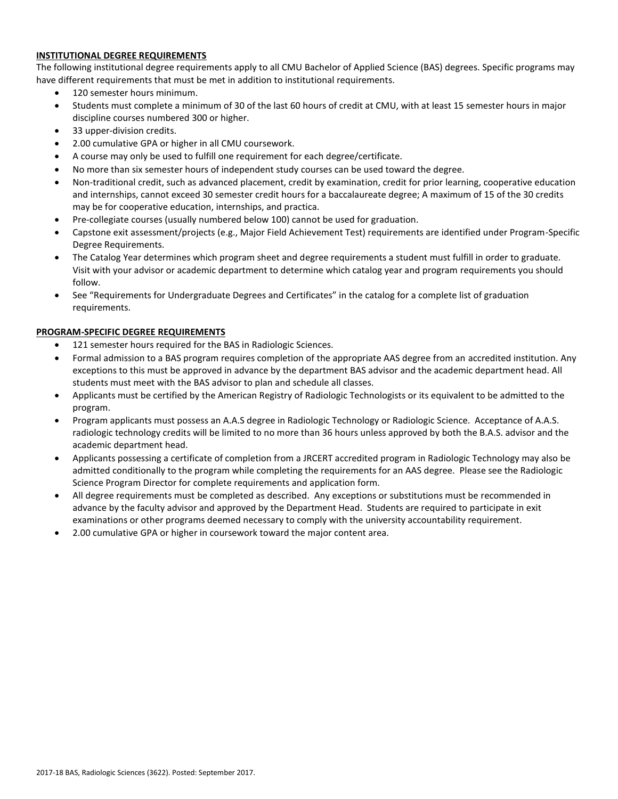## **INSTITUTIONAL DEGREE REQUIREMENTS**

The following institutional degree requirements apply to all CMU Bachelor of Applied Science (BAS) degrees. Specific programs may have different requirements that must be met in addition to institutional requirements.

- 120 semester hours minimum.
- Students must complete a minimum of 30 of the last 60 hours of credit at CMU, with at least 15 semester hours in major discipline courses numbered 300 or higher.
- 33 upper-division credits.
- 2.00 cumulative GPA or higher in all CMU coursework.
- A course may only be used to fulfill one requirement for each degree/certificate.
- No more than six semester hours of independent study courses can be used toward the degree.
- Non-traditional credit, such as advanced placement, credit by examination, credit for prior learning, cooperative education and internships, cannot exceed 30 semester credit hours for a baccalaureate degree; A maximum of 15 of the 30 credits may be for cooperative education, internships, and practica.
- Pre-collegiate courses (usually numbered below 100) cannot be used for graduation.
- Capstone exit assessment/projects (e.g., Major Field Achievement Test) requirements are identified under Program-Specific Degree Requirements.
- The Catalog Year determines which program sheet and degree requirements a student must fulfill in order to graduate. Visit with your advisor or academic department to determine which catalog year and program requirements you should follow.
- See "Requirements for Undergraduate Degrees and Certificates" in the catalog for a complete list of graduation requirements.

# **PROGRAM-SPECIFIC DEGREE REQUIREMENTS**

- 121 semester hours required for the BAS in Radiologic Sciences.
- Formal admission to a BAS program requires completion of the appropriate AAS degree from an accredited institution. Any exceptions to this must be approved in advance by the department BAS advisor and the academic department head. All students must meet with the BAS advisor to plan and schedule all classes.
- Applicants must be certified by the American Registry of Radiologic Technologists or its equivalent to be admitted to the program.
- Program applicants must possess an A.A.S degree in Radiologic Technology or Radiologic Science. Acceptance of A.A.S. radiologic technology credits will be limited to no more than 36 hours unless approved by both the B.A.S. advisor and the academic department head.
- Applicants possessing a certificate of completion from a JRCERT accredited program in Radiologic Technology may also be admitted conditionally to the program while completing the requirements for an AAS degree. Please see the Radiologic Science Program Director for complete requirements and application form.
- All degree requirements must be completed as described. Any exceptions or substitutions must be recommended in advance by the faculty advisor and approved by the Department Head. Students are required to participate in exit examinations or other programs deemed necessary to comply with the university accountability requirement.
- 2.00 cumulative GPA or higher in coursework toward the major content area.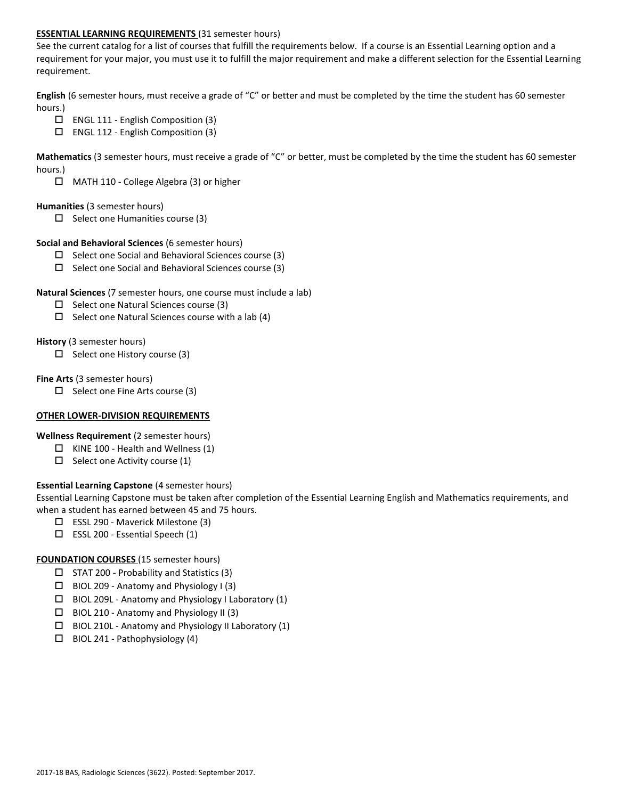## **ESSENTIAL LEARNING REQUIREMENTS** (31 semester hours)

See the current catalog for a list of courses that fulfill the requirements below. If a course is an Essential Learning option and a requirement for your major, you must use it to fulfill the major requirement and make a different selection for the Essential Learning requirement.

**English** (6 semester hours, must receive a grade of "C" or better and must be completed by the time the student has 60 semester hours.)

- ENGL 111 English Composition (3)
- ENGL 112 English Composition (3)

**Mathematics** (3 semester hours, must receive a grade of "C" or better, must be completed by the time the student has 60 semester hours.)

MATH 110 - College Algebra (3) or higher

#### **Humanities** (3 semester hours)

 $\square$  Select one Humanities course (3)

#### **Social and Behavioral Sciences** (6 semester hours)

- $\Box$  Select one Social and Behavioral Sciences course (3)
- $\Box$  Select one Social and Behavioral Sciences course (3)

## **Natural Sciences** (7 semester hours, one course must include a lab)

- $\square$  Select one Natural Sciences course (3)
- $\Box$  Select one Natural Sciences course with a lab (4)

## **History** (3 semester hours)

 $\Box$  Select one History course (3)

## **Fine Arts** (3 semester hours)

 $\Box$  Select one Fine Arts course (3)

#### **OTHER LOWER-DIVISION REQUIREMENTS**

**Wellness Requirement** (2 semester hours)

- $\Box$  KINE 100 Health and Wellness (1)
- $\Box$  Select one Activity course (1)

# **Essential Learning Capstone** (4 semester hours)

Essential Learning Capstone must be taken after completion of the Essential Learning English and Mathematics requirements, and when a student has earned between 45 and 75 hours.

- ESSL 290 Maverick Milestone (3)
- $\square$  ESSL 200 Essential Speech (1)

# **FOUNDATION COURSES** (15 semester hours)

- $\Box$  STAT 200 Probability and Statistics (3)
- $\Box$  BIOL 209 Anatomy and Physiology I (3)
- $\Box$  BIOL 209L Anatomy and Physiology I Laboratory (1)
- $\Box$  BIOL 210 Anatomy and Physiology II (3)
- $\Box$  BIOL 210L Anatomy and Physiology II Laboratory (1)
- $\Box$  BIOL 241 Pathophysiology (4)